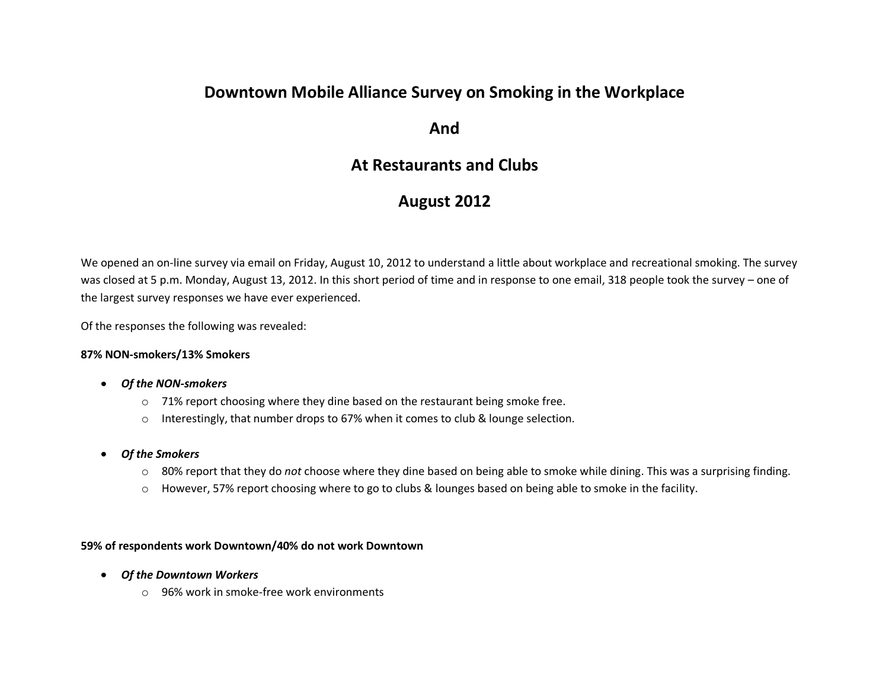# **Downtown Mobile Alliance Survey on Smoking in the Workplace**

**And**

## **At Restaurants and Clubs**

# **August 2012**

We opened an on-line survey via email on Friday, August 10, 2012 to understand a little about workplace and recreational smoking. The survey was closed at 5 p.m. Monday, August 13, 2012. In this short period of time and in response to one email, 318 people took the survey – one of the largest survey responses we have ever experienced.

Of the responses the following was revealed:

#### **87% NON-smokers/13% Smokers**

- *Of the NON-smokers*
	- o 71% report choosing where they dine based on the restaurant being smoke free.
	- $\circ$  Interestingly, that number drops to 67% when it comes to club & lounge selection.
- *Of the Smokers*   $\bullet$ 
	- o 80% report that they do *not* choose where they dine based on being able to smoke while dining. This was a surprising finding.
	- o However, 57% report choosing where to go to clubs & lounges based on being able to smoke in the facility.

#### **59% of respondents work Downtown/40% do not work Downtown**

- *Of the Downtown Workers*
	- o 96% work in smoke-free work environments